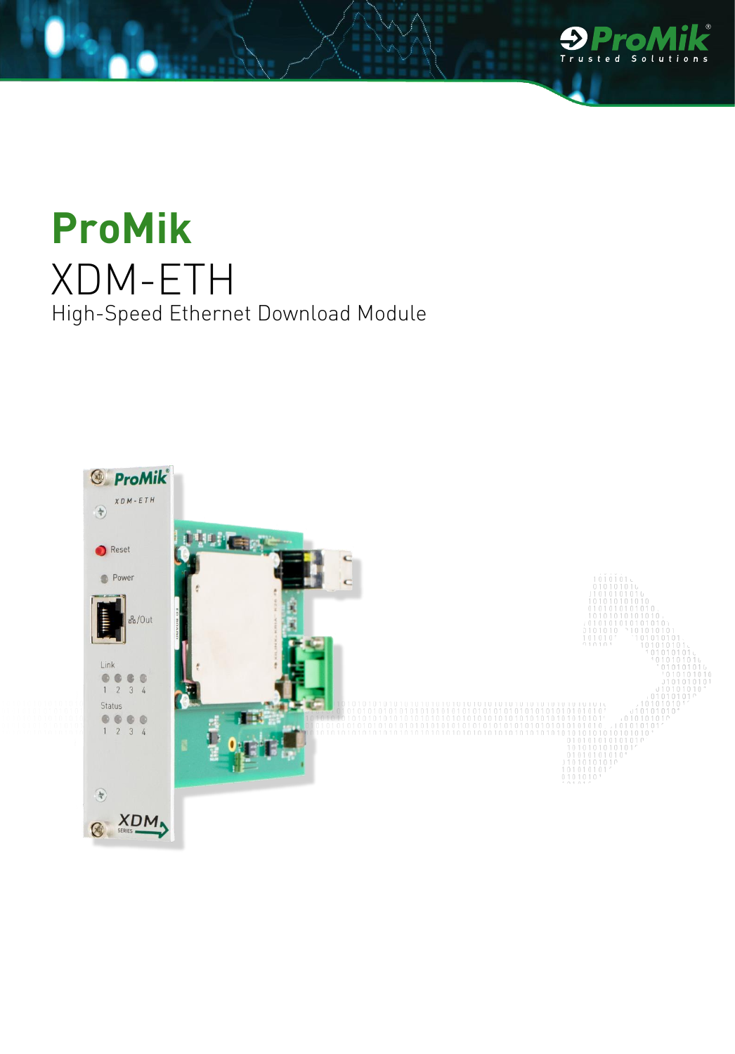

## **ProMik** XDM-ETH High-Speed Ethernet Download Module